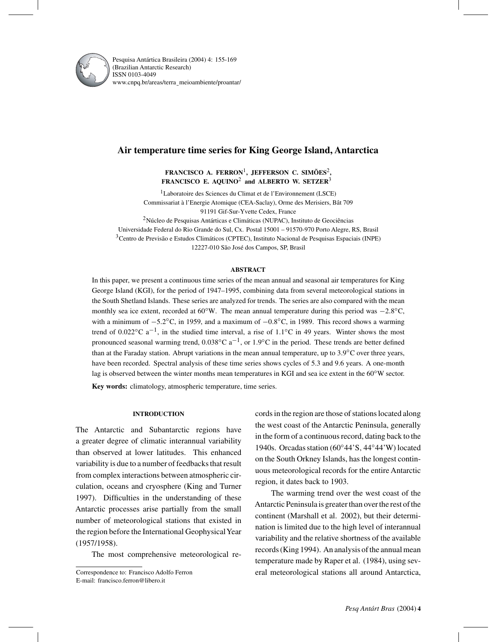

Pesquisa Antártica Brasileira (2004) 4: 155-169 (Brazilian Antarctic Research) ISSN 0103-4049 www.cnpq.br/areas/terra¯ meioambiente/proantar/

# **Air temperature time series for King George Island, Antarctica**

**FRANCISCO A. FERRON**1**, JEFFERSON C. SIMÕES**2**, FRANCISCO E. AQUINO**<sup>2</sup> **and ALBERTO W. SETZER**<sup>3</sup>

1Laboratoire des Sciences du Climat et de l'Environnement (LSCE) Commissariat à l'Energie Atomique (CEA-Saclay), Orme des Merisiers, Bât 709 91191 Gif-Sur-Yvette Cedex, France

2Núcleo de Pesquisas Antárticas e Climáticas (NUPAC), Instituto de Geociências Universidade Federal do Rio Grande do Sul, Cx. Postal 15001 – 91570-970 Porto Alegre, RS, Brasil 3Centro de Previsão e Estudos Climáticos (CPTEC), Instituto Nacional de Pesquisas Espaciais (INPE) 12227-010 São José dos Campos, SP, Brasil

### **ABSTRACT**

In this paper, we present a continuous time series of the mean annual and seasonal air temperatures for King George Island (KGI), for the period of 1947–1995, combining data from several meteorological stations in the South Shetland Islands. These series are analyzed for trends. The series are also compared with the mean monthly sea ice extent, recorded at 60◦W. The mean annual temperature during this period was −2.8◦C, with a minimum of −5.2°C, in 1959, and a maximum of −0.8°C, in 1989. This record shows a warming trend of 0.022 $^{\circ}$ C a<sup>-1</sup>, in the studied time interval, a rise of 1.1 $^{\circ}$ C in 49 years. Winter shows the most pronounced seasonal warming trend,  $0.038\degree C$  a<sup>-1</sup>, or 1.9<sup>°</sup>C in the period. These trends are better defined than at the Faraday station. Abrupt variations in the mean annual temperature, up to 3.9◦C over three years, have been recorded. Spectral analysis of these time series shows cycles of 5.3 and 9.6 years. A one-month lag is observed between the winter months mean temperatures in KGI and sea ice extent in the 60℃W sector. **Key words:** climatology, atmospheric temperature, time series.

### **INTRODUCTION**

The Antarctic and Subantarctic regions have a greater degree of climatic interannual variability than observed at lower latitudes. This enhanced variability is due to a number of feedbacks that result from complex interactions between atmospheric circulation, oceans and cryosphere (King and Turner 1997). Difficulties in the understanding of these Antarctic processes arise partially from the small number of meteorological stations that existed in the region before the International Geophysical Year (1957/1958).

The most comprehensive meteorological re-

Correspondence to: Francisco Adolfo Ferron E-mail: francisco.ferron@libero.it

cords in the region are those of stations located along the west coast of the Antarctic Peninsula, generally in the form of a continuous record, dating back to the 1940s. Orcadas station (60°44'S, 44°44'W) located on the South Orkney Islands, has the longest continuous meteorological records for the entire Antarctic region, it dates back to 1903.

The warming trend over the west coast of the Antarctic Peninsula is greater than over the rest of the continent (Marshall et al. 2002), but their determination is limited due to the high level of interannual variability and the relative shortness of the available records (King 1994). An analysis of the annual mean temperature made by Raper et al. (1984), using several meteorological stations all around Antarctica,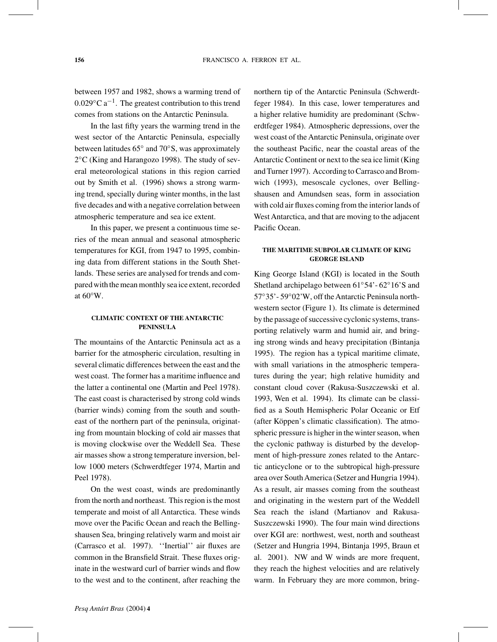between 1957 and 1982, shows a warming trend of  $0.029\degree$ C a<sup>-1</sup>. The greatest contribution to this trend comes from stations on the Antarctic Peninsula.

In the last fifty years the warming trend in the west sector of the Antarctic Peninsula, especially between latitudes 65◦ and 70◦S, was approximately 2◦C (King and Harangozo 1998). The study of several meteorological stations in this region carried out by Smith et al. (1996) shows a strong warming trend, specially during winter months, in the last five decades and with a negative correlation between atmospheric temperature and sea ice extent.

In this paper, we present a continuous time series of the mean annual and seasonal atmospheric temperatures for KGI, from 1947 to 1995, combining data from different stations in the South Shetlands. These series are analysed for trends and compared with the mean monthly sea ice extent, recorded at 60◦W.

### **CLIMATIC CONTEXT OF THE ANTARCTIC PENINSULA**

The mountains of the Antarctic Peninsula act as a barrier for the atmospheric circulation, resulting in several climatic differences between the east and the west coast. The former has a maritime influence and the latter a continental one (Martin and Peel 1978). The east coast is characterised by strong cold winds (barrier winds) coming from the south and southeast of the northern part of the peninsula, originating from mountain blocking of cold air masses that is moving clockwise over the Weddell Sea. These air masses show a strong temperature inversion, bellow 1000 meters (Schwerdtfeger 1974, Martin and Peel 1978).

On the west coast, winds are predominantly from the north and northeast. This region is the most temperate and moist of all Antarctica. These winds move over the Pacific Ocean and reach the Bellingshausen Sea, bringing relatively warm and moist air (Carrasco et al. 1997). ''Inertial'' air fluxes are common in the Bransfield Strait. These fluxes originate in the westward curl of barrier winds and flow to the west and to the continent, after reaching the

northern tip of the Antarctic Peninsula (Schwerdtfeger 1984). In this case, lower temperatures and a higher relative humidity are predominant (Schwerdtfeger 1984). Atmospheric depressions, over the west coast of the Antarctic Peninsula, originate over the southeast Pacific, near the coastal areas of the Antarctic Continent or next to the sea ice limit (King and Turner 1997). According to Carrasco and Bromwich (1993), mesoscale cyclones, over Bellingshausen and Amundsen seas, form in association with cold air fluxes coming from the interior lands of West Antarctica, and that are moving to the adjacent Pacific Ocean.

## **THE MARITIME SUBPOLAR CLIMATE OF KING GEORGE ISLAND**

King George Island (KGI) is located in the South Shetland archipelago between 61◦54'- 62◦16'S and 57◦35'- 59◦02'W, off the Antarctic Peninsula northwestern sector (Figure 1). Its climate is determined by the passage of successive cyclonic systems, transporting relatively warm and humid air, and bringing strong winds and heavy precipitation (Bintanja 1995). The region has a typical maritime climate, with small variations in the atmospheric temperatures during the year; high relative humidity and constant cloud cover (Rakusa-Suszczewski et al. 1993, Wen et al. 1994). Its climate can be classified as a South Hemispheric Polar Oceanic or Etf (after Köppen's climatic classification). The atmospheric pressure is higher in the winter season, when the cyclonic pathway is disturbed by the development of high-pressure zones related to the Antarctic anticyclone or to the subtropical high-pressure area over SouthAmerica (Setzer and Hungria 1994). As a result, air masses coming from the southeast and originating in the western part of the Weddell Sea reach the island (Martianov and Rakusa-Suszczewski 1990). The four main wind directions over KGI are: northwest, west, north and southeast (Setzer and Hungria 1994, Bintanja 1995, Braun et al. 2001). NW and W winds are more frequent, they reach the highest velocities and are relatively warm. In February they are more common, bring-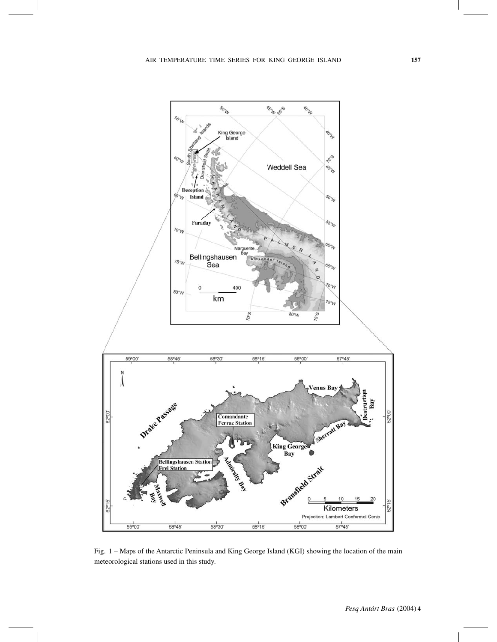

Fig. 1 – Maps of the Antarctic Peninsula and King George Island (KGI) showing the location of the main meteorological stations used in this study.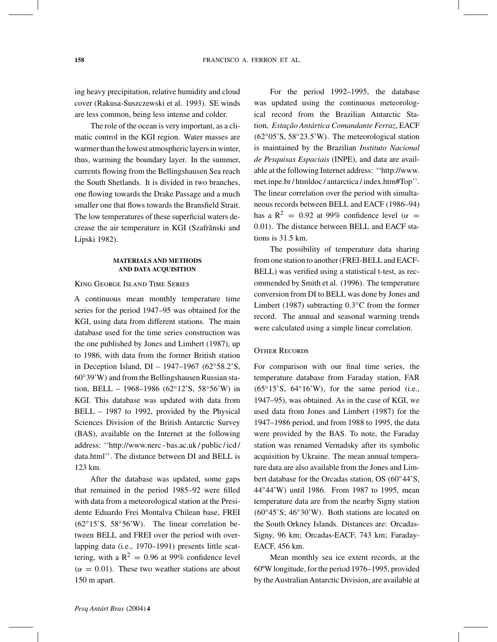ing heavy precipitation, relative humidity and cloud cover (Rakusa-Suszczewski et al. 1993). SE winds are less common, being less intense and colder.

The role of the ocean is very important, as a climatic control in the KGI region. Water masses are warmer than the lowest atmospheric layers in winter, thus, warming the boundary layer. In the summer, currents flowing from the Bellingshausen Sea reach the South Shetlands. It is divided in two branches, one flowing towards the Drake Passage and a much smaller one that flows towards the Bransfield Strait. The low temperatures of these superficial waters decrease the air temperature in KGI (Szafrãnski and Lipski 1982).

# **MATERIALS AND METHODS AND DATA ACQUISITION**

### King George Island Time Series

A continuous mean monthly temperature time series for the period 1947–95 was obtained for the KGI, using data from different stations. The main database used for the time series construction was the one published by Jones and Limbert (1987), up to 1986, with data from the former British station in Deception Island, DI – 1947–1967 (62◦58.2'S, 60◦39'W) and from the Bellingshausen Russian station, BELL – 1968–1986 (62°12'S, 58°56'W) in KGI. This database was updated with data from BELL – 1987 to 1992, provided by the Physical Sciences Division of the British Antarctic Survey (BAS), available on the Internet at the following address: ''http://www.nerc - bas.ac.uk / public / icd / data.html''. The distance between DI and BELL is 123 km.

After the database was updated, some gaps that remained in the period 1985–92 were filled with data from a meteorological station at the Presidente Eduardo Frei Montalva Chilean base, FREI (62◦15'S, 58◦56'W). The linear correlation between BELL and FREI over the period with overlapping data (i.e., 1970–1991) presents little scattering, with a  $R^2 = 0.96$  at 99% confidence level  $(\alpha = 0.01)$ . These two weather stations are about 150 m apart.

For the period 1992–1995, the database was updated using the continuous meteorological record from the Brazilian Antarctic Station, *Estação Antártica Comandante Ferraz*, EACF (62◦05'S, 58◦23.5'W). The meteorological station is maintained by the Brazilian *Instituto Nacional de Pesquisas Espaciais* (INPE), and data are available at the following Internet address: ''http://www. met.inpe.br / htmldoc / antarctica / index.htm#Top''. The linear correlation over the period with simultaneous records between BELL and EACF (1986–94) has a R<sup>2</sup> = 0.92 at 99% confidence level ( $\alpha$  = 0.01). The distance between BELL and EACF stations is 31.5 km.

The possibility of temperature data sharing from one station to another (FREI-BELL and EACF-BELL) was verified using a statistical t-test, as recommended by Smith et al. (1996). The temperature conversion from DI to BELL was done by Jones and Limbert (1987) subtracting 0.3◦C from the former record. The annual and seasonal warming trends were calculated using a simple linear correlation.

### **OTHER RECORDS**

For comparison with our final time series, the temperature database from Faraday station, FAR  $(65°15'S, 64°16'W)$ , for the same period (i.e., 1947–95), was obtained. As in the case of KGI, we used data from Jones and Limbert (1987) for the 1947–1986 period, and from 1988 to 1995, the data were provided by the BAS. To note, the Faraday station was renamed Vernadsky after its symbolic acquisition by Ukraine. The mean annual temperature data are also available from the Jones and Limbert database for the Orcadas station, OS (60◦44'S, 44◦44'W) until 1986. From 1987 to 1995, mean temperature data are from the nearby Signy station (60◦45'S; 46◦30'W). Both stations are located on the South Orkney Islands. Distances are: Orcadas-Signy, 96 km; Orcadas-EACF, 743 km; Faraday-EACF, 456 km.

Mean monthly sea ice extent records, at the 60ºW longitude, for the period 1976–1995, provided by the Australian Antarctic Division, are available at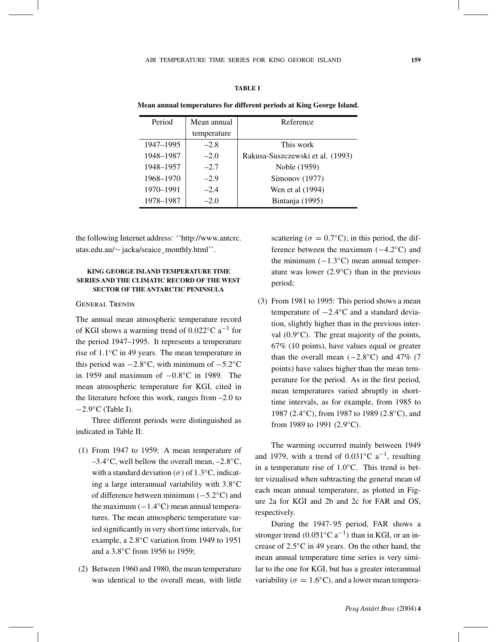### **TABLE I**

**Mean annual temperatures for different periods at King George Island.**

| Period    | Mean annual | Reference                        |
|-----------|-------------|----------------------------------|
|           | temperature |                                  |
| 1947–1995 | $-2.8$      | This work                        |
| 1948-1987 | $-2.0$      | Rakusa-Suszczewski et al. (1993) |
| 1948-1957 | $-2.7$      | Noble (1959)                     |
| 1968-1970 | $-2.9$      | Simonov (1977)                   |
| 1970-1991 | $-2.4$      | Wen et al (1994)                 |
| 1978-1987 | $-2.0$      | Bintanja (1995)                  |

the following Internet address: ''http://www.antcrc. utas.edu.au/<sup>∼</sup> jacka/seaice¯ monthly.html''.

### **KING GEORGE ISLAND TEMPERATURE TIME SERIES AND THE CLIMATIC RECORD OF THE WEST SECTOR OF THE ANTARCTIC PENINSULA**

#### General Trends

The annual mean atmospheric temperature record of KGI shows a warming trend of 0.022◦C a−<sup>1</sup> for the period 1947–1995. It represents a temperature rise of 1.1◦C in 49 years. The mean temperature in this period was  $-2.8\textdegree C$ , with minimum of  $-5.2\textdegree C$ in 1959 and maximum of −0.8◦C in 1989. The mean atmospheric temperature for KGI, cited in the literature before this work, ranges from  $-2.0$  to −2.9◦C (Table I).

Three different periods were distinguished as indicated in Table II:

- (1) From 1947 to 1959: A mean temperature of  $-3.4\textdegree$ C, well bellow the overall mean,  $-2.8\textdegree$ C, with a standard deviation ( $\sigma$ ) of 1.3 $\rm{°C}$ , indicating a large interannual variability with 3.8◦C of difference between minimum (−5.2◦C) and the maximum  $(-1.4°C)$  mean annual temperatures. The mean atmospheric temperature varied significantly in very short time intervals, for example, a 2.8◦C variation from 1949 to 1951 and a 3.8◦C from 1956 to 1959;
- (2) Between 1960 and 1980, the mean temperature was identical to the overall mean, with little

scattering ( $\sigma = 0.7$ °C); in this period, the difference between the maximum (−4.2◦C) and the minimum  $(-1.3°C)$  mean annual temperature was lower  $(2.9°C)$  than in the previous period;

(3) From 1981 to 1995: This period shows a mean temperature of −2.4◦C and a standard deviation, slightly higher than in the previous interval  $(0.9°C)$ . The great majority of the points, 67% (10 points), have values equal or greater than the overall mean  $(-2.8 °C)$  and 47% (7 points) have values higher than the mean temperature for the period. As in the first period, mean temperatures varied abruptly in shorttime intervals, as for example, from 1985 to 1987 (2.4◦C), from 1987 to 1989 (2.8◦C), and from 1989 to 1991 (2.9°C).

The warming occurred mainly between 1949 and 1979, with a trend of  $0.031\degree C$  a<sup>-1</sup>, resulting in a temperature rise of 1.0◦C. This trend is better vizualised when subtracting the general mean of each mean annual temperature, as plotted in Figure 2a for KGI and 2b and 2c for FAR and OS, respectively.

During the 1947- 95 period, FAR shows a stronger trend (0.051 $^{\circ}$ C a<sup>-1</sup>) than in KGI, or an increase of 2.5◦C in 49 years. On the other hand, the mean annual temperature time series is very similar to the one for KGI, but has a greater interannual variability ( $\sigma = 1.6\degree C$ ), and a lower mean tempera-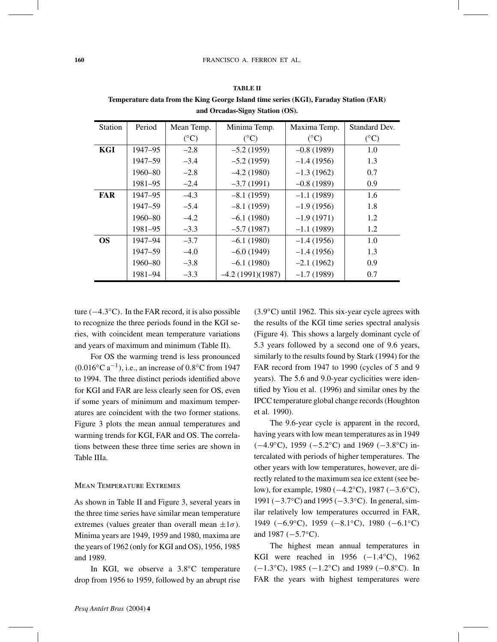| <b>Station</b> | Period  | Mean Temp.    | Minima Temp.       | Maxima Temp.    | Standard Dev.   |
|----------------|---------|---------------|--------------------|-----------------|-----------------|
|                |         | $(^{\circ}C)$ | $({}^{\circ}C)$    | $({}^{\circ}C)$ | $({}^{\circ}C)$ |
| KGI            | 1947–95 | $-2.8$        | $-5.2(1959)$       | $-0.8(1989)$    | 1.0             |
|                | 1947-59 | $-3.4$        | $-5.2(1959)$       | $-1.4(1956)$    | 1.3             |
|                | 1960–80 | $-2.8$        | $-4.2(1980)$       | $-1.3(1962)$    | 0.7             |
|                | 1981–95 | $-2.4$        | $-3.7(1991)$       | $-0.8(1989)$    | 0.9             |
| <b>FAR</b>     | 1947–95 | $-4.3$        | $-8.1(1959)$       | $-1.1(1989)$    | 1.6             |
|                | 1947–59 | $-5.4$        | $-8.1(1959)$       | $-1.9(1956)$    | 1.8             |
|                | 1960–80 | $-4.2$        | $-6.1(1980)$       | $-1.9(1971)$    | 1.2             |
|                | 1981–95 | $-3.3$        | $-5.7(1987)$       | $-1.1(1989)$    | 1.2             |
| <b>OS</b>      | 1947-94 | $-3.7$        | $-6.1(1980)$       | $-1.4(1956)$    | 1.0             |
|                | 1947-59 | $-4.0$        | $-6.0(1949)$       | $-1.4(1956)$    | 1.3             |
|                | 1960–80 | $-3.8$        | $-6.1(1980)$       | $-2.1(1962)$    | 0.9             |
|                | 1981-94 | $-3.3$        | $-4.2(1991)(1987)$ | $-1.7(1989)$    | 0.7             |

**TABLE II Temperature data from the King George Island time series (KGI), Faraday Station (FAR) and Orcadas-Signy Station (OS).**

ture  $(-4.3°C)$ . In the FAR record, it is also possible to recognize the three periods found in the KGI series, with coincident mean temperature variations and years of maximum and minimum (Table II).

For OS the warming trend is less pronounced  $(0.016 °C a^{-1})$ , i.e., an increase of 0.8°C from 1947 to 1994. The three distinct periods identified above for KGI and FAR are less clearly seen for OS, even if some years of minimum and maximum temperatures are coincident with the two former stations. Figure 3 plots the mean annual temperatures and warming trends for KGI, FAR and OS. The correlations between these three time series are shown in Table IIIa.

### Mean Temperature Extremes

As shown in Table II and Figure 3, several years in the three time series have similar mean temperature extremes (values greater than overall mean  $\pm 1\sigma$ ). Minima years are 1949, 1959 and 1980, maxima are the years of 1962 (only for KGI and OS), 1956, 1985 and 1989.

In KGI, we observe a 3.8<sup>°</sup>C temperature drop from 1956 to 1959, followed by an abrupt rise (3.9◦C) until 1962. This six-year cycle agrees with the results of the KGI time series spectral analysis (Figure 4). This shows a largely dominant cycle of 5.3 years followed by a second one of 9.6 years, similarly to the results found by Stark (1994) for the FAR record from 1947 to 1990 (cycles of 5 and 9 years). The 5.6 and 9.0-year cyclicities were identified by Yiou et al. (1996) and similar ones by the IPCC temperature global change records (Houghton et al. 1990).

The 9.6-year cycle is apparent in the record, having years with low mean temperatures as in 1949 (−4.9◦C), 1959 (−5.2◦C) and 1969 (−3.8◦C) intercalated with periods of higher temperatures. The other years with low temperatures, however, are directly related to the maximum sea ice extent (see below), for example, 1980 (−4.2◦C), 1987 (−3.6◦C), 1991 (−3.7◦C) and 1995 (−3.3◦C). In general, similar relatively low temperatures occurred in FAR, 1949 (−6.9◦C), 1959 (−8.1◦C), 1980 (−6.1◦C) and 1987 (−5.7◦C).

The highest mean annual temperatures in KGI were reached in 1956  $(-1.4 °C)$ , 1962  $(-1.3°C)$ , 1985  $(-1.2°C)$  and 1989  $(-0.8°C)$ . In FAR the years with highest temperatures were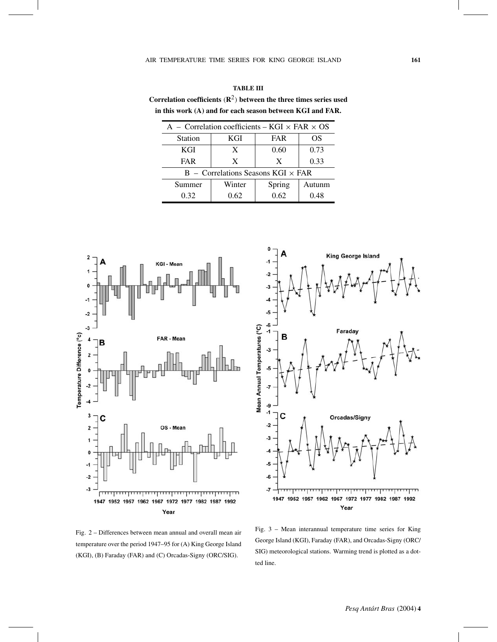| Correlation coefficients $(\mathbb{R}^2)$ between the three times series used |
|-------------------------------------------------------------------------------|
| in this work (A) and for each season between KGI and FAR.                     |

| A – Correlation coefficients – KGI $\times$ FAR $\times$ OS |        |            |        |  |
|-------------------------------------------------------------|--------|------------|--------|--|
| <b>Station</b>                                              | KGI    | <b>FAR</b> | OS     |  |
| <b>KGI</b>                                                  | X      | 0.60       | 0.73   |  |
| <b>FAR</b>                                                  | X      | X          | 0.33   |  |
| $B -$ Correlations Seasons KGI $\times$ FAR                 |        |            |        |  |
| Summer                                                      | Winter |            | Autunm |  |
| 0.32<br>0.62                                                |        | 0.62       | 0.48   |  |



Fig. 2 – Differences between mean annual and overall mean air temperature over the period 1947–95 for (A) King George Island (KGI), (B) Faraday (FAR) and (C) Orcadas-Signy (ORC/SIG).



Fig. 3 – Mean interannual temperature time series for King George Island (KGI), Faraday (FAR), and Orcadas-Signy (ORC/ SIG) meteorological stations. Warming trend is plotted as a dotted line.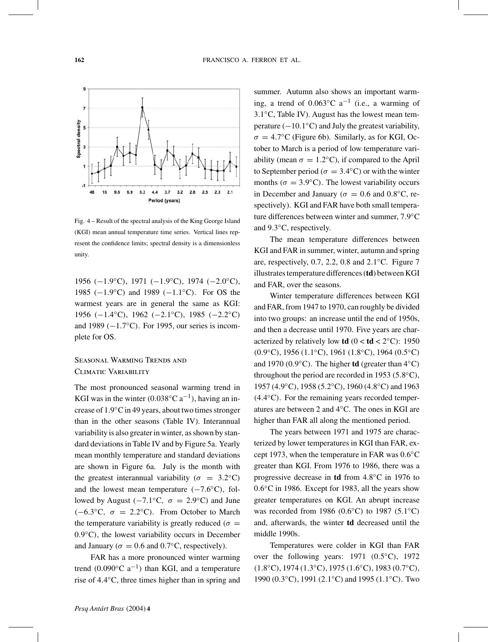

Fig. 4 – Result of the spectral analysis of the King George Island (KGI) mean annual temperature time series. Vertical lines represent the confidence limits; spectral density is a dimensionless unity.

1956 (−1.9◦C), 1971 (−1.9◦C), 1974 (−2.0◦C), 1985 (−1.9◦C) and 1989 (−1.1◦C). For OS the warmest years are in general the same as KGI: 1956 (−1.4◦C), 1962 (−2.1◦C), 1985 (−2.2◦C) and 1989  $(-1.7°C)$ . For 1995, our series is incomplete for OS.

# Seasonal Warming Trends and Climatic Variability

The most pronounced seasonal warming trend in KGI was in the winter  $(0.038 °C a^{-1})$ , having an increase of 1.9◦C in 49 years, about two times stronger than in the other seasons (Table IV). Interannual variability is also greater in winter, as shown by standard deviations in Table IV and by Figure 5a. Yearly mean monthly temperature and standard deviations are shown in Figure 6a. July is the month with the greatest interannual variability ( $\sigma = 3.2$ °C) and the lowest mean temperature  $(-7.6°C)$ , followed by August (−7.1 $°C$ ,  $\sigma = 2.9$ °C) and June (−6.3 $\degree$ C,  $\sigma = 2.2\degree$ C). From October to March the temperature variability is greatly reduced ( $\sigma =$ 0.9◦C), the lowest variability occurs in December and January ( $\sigma = 0.6$  and 0.7 $\degree$ C, respectively).

FAR has a more pronounced winter warming trend (0.090 $\degree$ C a<sup>-1</sup>) than KGI, and a temperature rise of 4.4◦C, three times higher than in spring and

summer. Autumn also shows an important warming, a trend of  $0.063$ °C a<sup>-1</sup> (i.e., a warming of 3.1◦C, Table IV). August has the lowest mean temperature  $(-10.1°C)$  and July the greatest variability,  $\sigma = 4.7$ °C (Figure 6b). Similarly, as for KGI, October to March is a period of low temperature variability (mean  $\sigma = 1.2$ °C), if compared to the April to September period ( $\sigma = 3.4$ °C) or with the winter months ( $\sigma = 3.9$ °C). The lowest variability occurs in December and January ( $\sigma = 0.6$  and  $0.8\degree$ C, respectively). KGI and FAR have both small temperature differences between winter and summer, 7.9◦C and 9.3◦C, respectively.

The mean temperature differences between KGI and FAR in summer, winter, autumn and spring are, respectively, 0.7, 2.2, 0.8 and 2.1◦C. Figure 7 illustrates temperature differences (**td**) between KGI and FAR, over the seasons.

Winter temperature differences between KGI and FAR, from 1947 to 1970, can roughly be divided into two groups: an increase until the end of 1950s, and then a decrease until 1970. Five years are characterized by relatively low **td**  $(0 < **td** < 2$ <sup>°</sup>C): 1950(0.9◦C), 1956 (1.1◦C), 1961 (1.8◦C), 1964 (0.5◦C) and 1970 (0.9◦C). The higher **td** (greater than 4◦C) throughout the period are recorded in 1953 ( $5.8°$ C), 1957 (4.9◦C), 1958 (5.2◦C), 1960 (4.8◦C) and 1963 (4.4◦C). For the remaining years recorded temperatures are between 2 and 4◦C. The ones in KGI are higher than FAR all along the mentioned period.

The years between 1971 and 1975 are characterized by lower temperatures in KGI than FAR, except 1973, when the temperature in FAR was 0.6◦C greater than KGI. From 1976 to 1986, there was a progressive decrease in **td** from 4.8◦C in 1976 to 0.6◦C in 1986. Except for 1983, all the years show greater temperatures on KGI. An abrupt increase was recorded from 1986 (0.6◦C) to 1987 (5.1◦C) and, afterwards, the winter **td** decreased until the middle 1990s.

Temperatures were colder in KGI than FAR over the following years: 1971 (0.5<sup>°</sup>C), 1972 (1.8◦C), 1974 (1.3◦C), 1975 (1.6◦C), 1983 (0.7◦C), 1990 (0.3◦C), 1991 (2.1◦C) and 1995 (1.1◦C). Two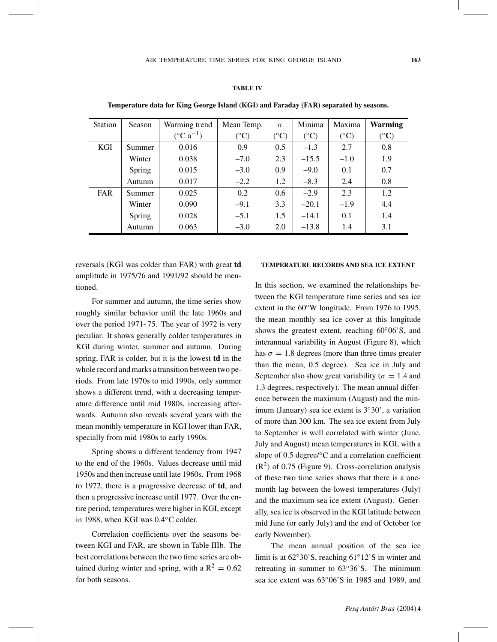### **TABLE IV**

| <b>Station</b> | Season | Warming trend                | Mean Temp.      | $\sigma$        | Minima          | Maxima          | <b>Warming</b>        |
|----------------|--------|------------------------------|-----------------|-----------------|-----------------|-----------------|-----------------------|
|                |        | $(^{\circ}C \text{ a}^{-1})$ | $({}^{\circ}C)$ | $({}^{\circ}C)$ | $({}^{\circ}C)$ | $({}^{\circ}C)$ | $({}^{\circ}{\bf C})$ |
| KGI            | Summer | 0.016                        | 0.9             | 0.5             | $-1.3$          | 2.7             | 0.8                   |
|                | Winter | 0.038                        | $-7.0$          | 2.3             | $-15.5$         | $-1.0$          | 1.9                   |
|                | Spring | 0.015                        | $-3.0$          | 0.9             | $-9.0$          | 0.1             | 0.7                   |
|                | Autunm | 0.017                        | $-2.2$          | 1.2             | $-8.3$          | 2.4             | 0.8                   |
| <b>FAR</b>     | Summer | 0.025                        | 0.2             | 0.6             | $-2.9$          | 2.3             | 1.2                   |
|                | Winter | 0.090                        | $-9.1$          | 3.3             | $-20.1$         | $-1.9$          | 4.4                   |
|                | Spring | 0.028                        | $-5.1$          | 1.5             | $-14.1$         | 0.1             | 1.4                   |
|                | Autumn | 0.063                        | $-3.0$          | 2.0             | $-13.8$         | 1.4             | 3.1                   |

**Temperature data for King George Island (KGI) and Faraday (FAR) separated by seasons.**

reversals (KGI was colder than FAR) with great **td** amplitude in 1975/76 and 1991/92 should be mentioned.

For summer and autumn, the time series show roughly similar behavior until the late 1960s and over the period 1971- 75. The year of 1972 is very peculiar. It shows generally colder temperatures in KGI during winter, summer and autumn. During spring, FAR is colder, but it is the lowest **td** in the whole record and marks a transition between two periods. From late 1970s to mid 1990s, only summer shows a different trend, with a decreasing temperature difference until mid 1980s, increasing afterwards. Autumn also reveals several years with the mean monthly temperature in KGI lower than FAR, specially from mid 1980s to early 1990s.

Spring shows a different tendency from 1947 to the end of the 1960s. Values decrease until mid 1950s and then increase until late 1960s. From 1968 to 1972, there is a progressive decrease of **td**, and then a progressive increase until 1977. Over the entire period, temperatures were higher in KGI, except in 1988, when KGI was 0.4◦C colder.

Correlation coefficients over the seasons between KGI and FAR, are shown in Table IIIb. The best correlations between the two time series are obtained during winter and spring, with a  $R^2 = 0.62$ for both seasons.

### **TEMPERATURE RECORDS AND SEA ICE EXTENT**

In this section, we examined the relationships between the KGI temperature time series and sea ice extent in the 60°W longitude. From 1976 to 1995, the mean monthly sea ice cover at this longitude shows the greatest extent, reaching 60°06'S, and interannual variability in August (Figure 8), which has  $\sigma = 1.8$  degrees (more than three times greater than the mean, 0.5 degree). Sea ice in July and September also show great variability ( $\sigma = 1.4$  and 1.3 degrees, respectively). The mean annual difference between the maximum (August) and the minimum (January) sea ice extent is 3◦30', a variation of more than 300 km. The sea ice extent from July to September is well correlated with winter (June, July and August) mean temperatures in KGI, with a slope of 0.5 degree/◦C and a correlation coefficient  $(R<sup>2</sup>)$  of 0.75 (Figure 9). Cross-correlation analysis of these two time series shows that there is a onemonth lag between the lowest temperatures (July) and the maximum sea ice extent (August). Generally, sea ice is observed in the KGI latitude between mid June (or early July) and the end of October (or early November).

The mean annual position of the sea ice limit is at 62◦30'S, reaching 61◦12'S in winter and retreating in summer to 63◦36'S. The minimum sea ice extent was 63◦06'S in 1985 and 1989, and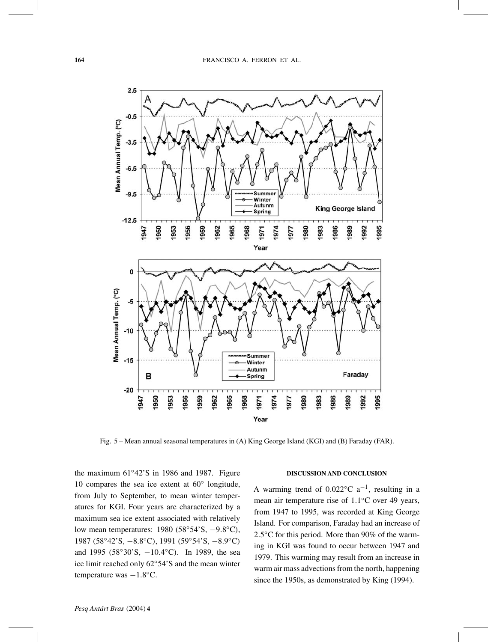

Fig. 5 – Mean annual seasonal temperatures in (A) King George Island (KGI) and (B) Faraday (FAR).

the maximum 61◦42'S in 1986 and 1987. Figure 10 compares the sea ice extent at 60◦ longitude, from July to September, to mean winter temperatures for KGI. Four years are characterized by a maximum sea ice extent associated with relatively low mean temperatures: 1980 (58◦54'S, −9.8◦C), 1987 (58◦42'S, −8.8◦C), 1991 (59◦54'S, −8.9◦C) and 1995 (58◦30'S, −10.4◦C). In 1989, the sea ice limit reached only 62◦54'S and the mean winter temperature was −1.8◦C.

# **DISCUSSION AND CONCLUSION**

A warming trend of 0.022 $^{\circ}$ C a<sup>-1</sup>, resulting in a mean air temperature rise of 1.1◦C over 49 years, from 1947 to 1995, was recorded at King George Island. For comparison, Faraday had an increase of 2.5<sup>°</sup>C for this period. More than 90% of the warming in KGI was found to occur between 1947 and 1979. This warming may result from an increase in warm air mass advections from the north, happening since the 1950s, as demonstrated by King (1994).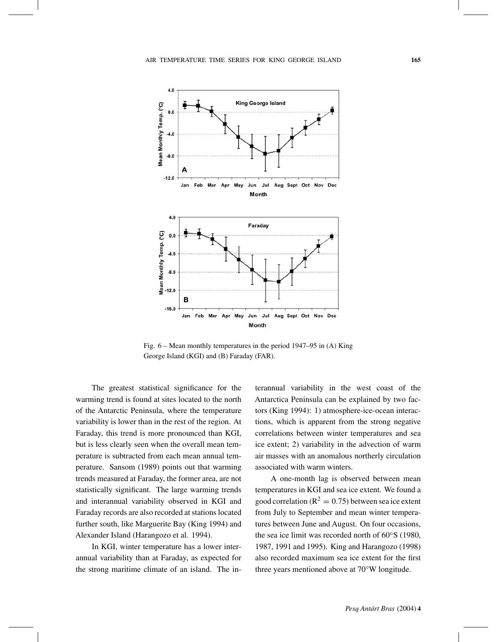

Fig. 6 – Mean monthly temperatures in the period 1947–95 in (A) King George Island (KGI) and (B) Faraday (FAR).

The greatest statistical significance for the warming trend is found at sites located to the north of the Antarctic Peninsula, where the temperature variability is lower than in the rest of the region. At Faraday, this trend is more pronounced than KGI, but is less clearly seen when the overall mean temperature is subtracted from each mean annual temperature. Sansom (1989) points out that warming trends measured at Faraday, the former area, are not statistically significant. The large warming trends and interannual variability observed in KGI and Faraday records are also recorded at stations located further south, like Marguerite Bay (King 1994) and Alexander Island (Harangozo et al. 1994).

In KGI, winter temperature has a lower interannual variability than at Faraday, as expected for the strong maritime climate of an island. The interannual variability in the west coast of the Antarctica Peninsula can be explained by two factors (King 1994): 1) atmosphere-ice-ocean interactions, which is apparent from the strong negative correlations between winter temperatures and sea ice extent; 2) variability in the advection of warm air masses with an anomalous northerly circulation associated with warm winters.

A one-month lag is observed between mean temperatures in KGI and sea ice extent. We found a good correlation ( $R^2 = 0.75$ ) between sea ice extent from July to September and mean winter temperatures between June and August. On four occasions, the sea ice limit was recorded north of 60◦S (1980, 1987, 1991 and 1995). King and Harangozo (1998) also recorded maximum sea ice extent for the first three years mentioned above at 70◦W longitude.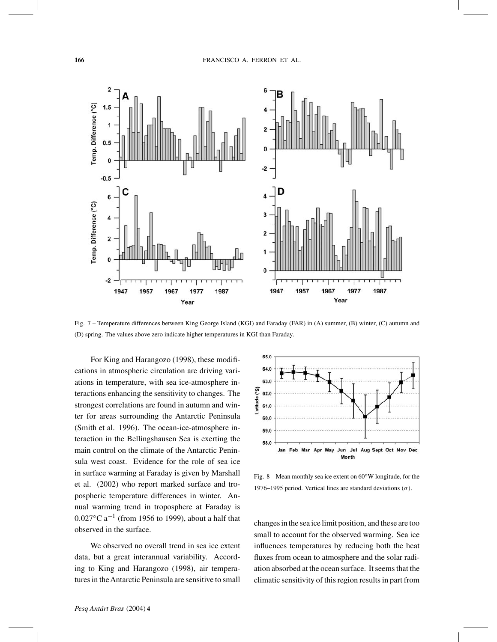

Fig. 7 – Temperature differences between King George Island (KGI) and Faraday (FAR) in (A) summer, (B) winter, (C) autumn and (D) spring. The values above zero indicate higher temperatures in KGI than Faraday.

For King and Harangozo (1998), these modifications in atmospheric circulation are driving variations in temperature, with sea ice-atmosphere interactions enhancing the sensitivity to changes. The strongest correlations are found in autumn and winter for areas surrounding the Antarctic Peninsula (Smith et al. 1996). The ocean-ice-atmosphere interaction in the Bellingshausen Sea is exerting the main control on the climate of the Antarctic Peninsula west coast. Evidence for the role of sea ice in surface warming at Faraday is given by Marshall et al. (2002) who report marked surface and tropospheric temperature differences in winter. Annual warming trend in troposphere at Faraday is 0.027 $^{\circ}$ C a<sup>-1</sup> (from 1956 to 1999), about a half that observed in the surface.

We observed no overall trend in sea ice extent data, but a great interannual variability. According to King and Harangozo (1998), air temperatures in theAntarctic Peninsula are sensitive to small



Fig. 8 – Mean monthly sea ice extent on  $60°W$  longitude, for the 1976–1995 period. Vertical lines are standard deviations  $(\sigma)$ .

changes in the sea ice limit position, and these are too small to account for the observed warming. Sea ice influences temperatures by reducing both the heat fluxes from ocean to atmosphere and the solar radiation absorbed at the ocean surface. It seems that the climatic sensitivity of this region results in part from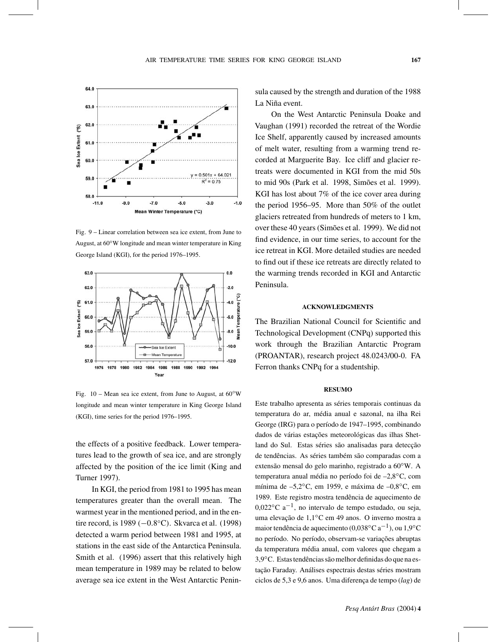

Fig. 9 – Linear correlation between sea ice extent, from June to August, at 60◦W longitude and mean winter temperature in King George Island (KGI), for the period 1976–1995.



Fig.  $10$  – Mean sea ice extent, from June to August, at  $60°W$ longitude and mean winter temperature in King George Island (KGI), time series for the period 1976–1995.

the effects of a positive feedback. Lower temperatures lead to the growth of sea ice, and are strongly affected by the position of the ice limit (King and Turner 1997).

In KGI, the period from 1981 to 1995 has mean temperatures greater than the overall mean. The warmest year in the mentioned period, and in the entire record, is 1989 (−0.8◦C). Skvarca et al. (1998) detected a warm period between 1981 and 1995, at stations in the east side of the Antarctica Peninsula. Smith et al. (1996) assert that this relatively high mean temperature in 1989 may be related to below average sea ice extent in the West Antarctic Peninsula caused by the strength and duration of the 1988 La Niña event.

On the West Antarctic Peninsula Doake and Vaughan (1991) recorded the retreat of the Wordie Ice Shelf, apparently caused by increased amounts of melt water, resulting from a warming trend recorded at Marguerite Bay. Ice cliff and glacier retreats were documented in KGI from the mid 50s to mid 90s (Park et al. 1998, Simões et al. 1999). KGI has lost about 7% of the ice cover area during the period 1956–95. More than 50% of the outlet glaciers retreated from hundreds of meters to 1 km, over these 40 years (Simões et al. 1999). We did not find evidence, in our time series, to account for the ice retreat in KGI. More detailed studies are needed to find out if these ice retreats are directly related to the warming trends recorded in KGI and Antarctic Peninsula.

#### **ACKNOWLEDGMENTS**

The Brazilian National Council for Scientific and Technological Development (CNPq) supported this work through the Brazilian Antarctic Program (PROANTAR), research project 48.0243/00-0. FA Ferron thanks CNPq for a studentship.

### **RESUMO**

Este trabalho apresenta as séries temporais continuas da temperatura do ar, média anual e sazonal, na ilha Rei George (IRG) para o período de 1947–1995, combinando dados de várias estações meteorológicas das ilhas Shetland do Sul. Estas séries são analisadas para detecção de tendências. As séries também são comparadas com a extensão mensal do gelo marinho, registrado a 60◦W. A temperatura anual média no período foi de –2,8◦C, com mínima de –5,2◦C, em 1959, e máxima de –0,8◦C, em 1989. Este registro mostra tendência de aquecimento de  $0.022\degree$ C a<sup>-1</sup>, no intervalo de tempo estudado, ou seja, uma elevação de 1,1◦C em 49 anos. O inverno mostra a maior tendência de aquecimento (0,038°C a<sup>-1</sup>), ou 1,9°C no período. No período, observam-se variações abruptas da temperatura média anual, com valores que chegam a 3,9◦C. Estas tendências são melhor definidas do que na estação Faraday. Análises espectrais destas séries mostram ciclos de 5,3 e 9,6 anos. Uma diferença de tempo (*lag*) de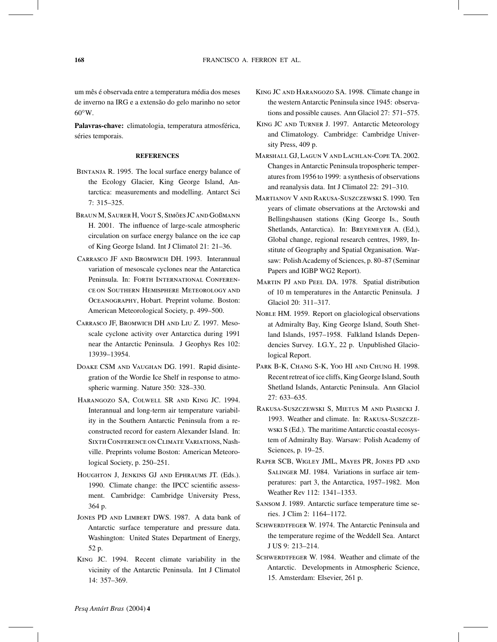um mês é observada entre a temperatura média dos meses de inverno na IRG e a extensão do gelo marinho no setor  $60^{\circ}$ W.

**Palavras-chave:** climatologia, temperatura atmosférica, séries temporais.

#### **REFERENCES**

- BINTANJA R. 1995. The local surface energy balance of the Ecology Glacier, King George Island, Antarctica: measurements and modelling. Antarct Sci 7: 315–325.
- Braun M, Saurer H, Vogt S, Simões JC and Goßmann H. 2001. The influence of large-scale atmospheric circulation on surface energy balance on the ice cap of King George Island. Int J Climatol 21: 21–36.
- Carrasco JF and Bromwich DH. 1993. Interannual variation of mesoscale cyclones near the Antarctica Peninsula. In: FORTH INTERNATIONAL CONFERENce on Southern Hemisphere Meteorology and Oceanography, Hobart. Preprint volume. Boston: American Meteorological Society, p. 499–500.
- Carrasco JF, Bromwich DH and Liu Z. 1997. Mesoscale cyclone activity over Antarctica during 1991 near the Antarctic Peninsula. J Geophys Res 102: 13939–13954.
- Doake CSM and Vaughan DG. 1991. Rapid disintegration of the Wordie Ice Shelf in response to atmospheric warming. Nature 350: 328–330.
- Harangozo SA, Colwell SR and King JC. 1994. Interannual and long-term air temperature variability in the Southern Antarctic Peninsula from a reconstructed record for eastern Alexander Island. In: Sixth Conference on Climate Variations, Nashville. Preprints volume Boston: American Meteorological Society, p. 250–251.
- Houghton J, Jenkins GJ and Ephraums JT. (Eds.). 1990. Climate change: the IPCC scientific assessment. Cambridge: Cambridge University Press, 364 p.
- Jones PD and Limbert DWS. 1987. A data bank of Antarctic surface temperature and pressure data. Washington: United States Department of Energy, 52 p.
- King JC. 1994. Recent climate variability in the vicinity of the Antarctic Peninsula. Int J Climatol 14: 357–369.
- King JC and Harangozo SA. 1998. Climate change in the western Antarctic Peninsula since 1945: observations and possible causes. Ann Glaciol 27: 571–575.
- King JC and Turner J. 1997. Antarctic Meteorology and Climatology. Cambridge: Cambridge University Press, 409 p.
- Marshall GJ, Lagun V and Lachlan-Cope TA. 2002. Changes in Antarctic Peninsula tropospheric temperatures from 1956 to 1999: a synthesis of observations and reanalysis data. Int J Climatol 22: 291–310.
- Martianov V and Rakusa-Suszczewski S. 1990. Ten years of climate observations at the Arctowski and Bellingshausen stations (King George Is., South Shetlands, Antarctica). In: Breyemeyer A. (Ed.), Global change, regional research centres, 1989, Institute of Geography and Spatial Organisation. Warsaw: Polish Academy of Sciences, p. 80-87 (Seminar Papers and IGBP WG2 Report).
- Martin PJ and Peel DA. 1978. Spatial distribution of 10 m temperatures in the Antarctic Peninsula. J Glaciol 20: 311–317.
- NOBLE HM. 1959. Report on glaciological observations at Admiralty Bay, King George Island, South Shetland Islands, 1957–1958. Falkland Islands Dependencies Survey. I.G.Y., 22 p. Unpublished Glaciological Report.
- Park B-K, Chang S-K, Yoo HI and Chung H. 1998. Recent retreat of ice cliffs, King George Island, South Shetland Islands, Antarctic Peninsula. Ann Glaciol 27: 633–635.
- Rakusa-Suszczewski S, Mietus M and Piasecki J. 1993. Weather and climate. In: Rakusa-Suszczewski S (Ed.). The maritime Antarctic coastal ecosystem of Admiralty Bay. Warsaw: Polish Academy of Sciences, p. 19–25.
- Raper SCB, Wigley JML, Mayes PR, Jones PD and SALINGER MJ. 1984. Variations in surface air temperatures: part 3, the Antarctica, 1957–1982. Mon Weather Rev 112: 1341–1353.
- Sansom J. 1989. Antarctic surface temperature time series. J Clim 2: 1164–1172.
- SCHWERDTFEGER W. 1974. The Antarctic Peninsula and the temperature regime of the Weddell Sea. Antarct J US 9: 213–214.
- SCHWERDTFEGER W. 1984. Weather and climate of the Antarctic. Developments in Atmospheric Science, 15. Amsterdam: Elsevier, 261 p.